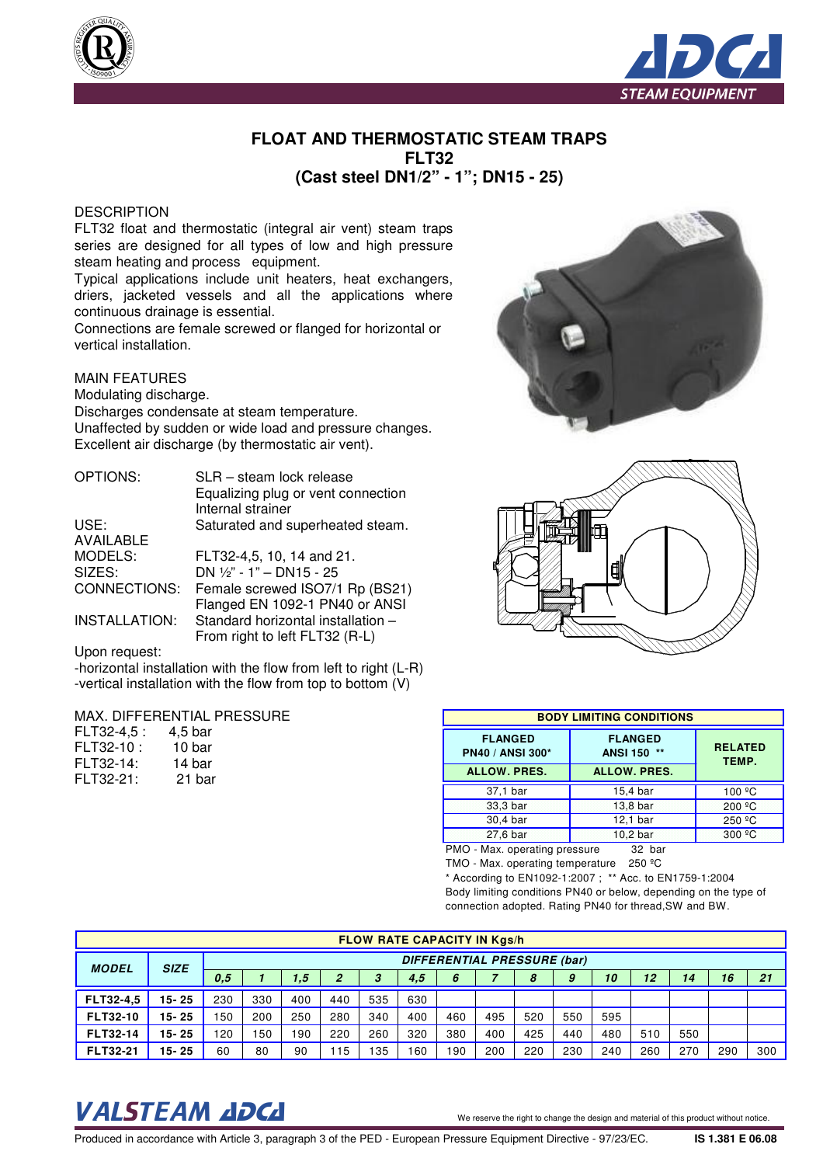

## **FLOAT AND THERMOSTATIC STEAM TRAPS FLT32 (Cast steel DN1/2" - 1"; DN15 - 25)**

### **DESCRIPTION**

FLT32 float and thermostatic (integral air vent) steam traps series are designed for all types of low and high pressure steam heating and process equipment.

Typical applications include unit heaters, heat exchangers, driers, jacketed vessels and all the applications where continuous drainage is essential.

Connections are female screwed or flanged for horizontal or vertical installation.

### MAIN FEATURES

Modulating discharge.

Discharges condensate at steam temperature. Unaffected by sudden or wide load and pressure changes. Excellent air discharge (by thermostatic air vent).

| <b>OPTIONS:</b>  | SLR - steam lock release           |
|------------------|------------------------------------|
|                  | Equalizing plug or vent connection |
|                  | Internal strainer                  |
| USE:             | Saturated and superheated steam.   |
| <b>AVAILABLE</b> |                                    |
| MODELS:          | FLT32-4,5, 10, 14 and 21.          |
| SIZES:           | DN 1/2" - 1" - DN15 - 25           |
| CONNECTIONS:     | Female screwed ISO7/1 Rp (BS21)    |
|                  | Flanged EN 1092-1 PN40 or ANSI     |
| INSTALLATION:    | Standard horizontal installation - |
|                  | From right to left FLT32 (R-L)     |

Upon request:

-horizontal installation with the flow from left to right (L-R) -vertical installation with the flow from top to bottom (V)

#### MAX. DIFFERENTIAL PRESSURE

| FLT32-4.5 : | 4.5 bar |
|-------------|---------|
| FLT32-10 :  | 10 bar  |
| FLT32-14:   | 14 bar  |
| FLT32-21:   | 21 bar  |





| <b>BODY LIMITING CONDITIONS</b>                                                                                                                     |          |                    |  |  |  |  |  |          |
|-----------------------------------------------------------------------------------------------------------------------------------------------------|----------|--------------------|--|--|--|--|--|----------|
| <b>FLANGED</b><br><b>FLANGED</b><br><b>RELATED</b><br><b>PN40 / ANSI 300*</b><br>ANSI 150 **<br>TEMP.<br><b>ALLOW. PRES.</b><br><b>ALLOW. PRES.</b> |          |                    |  |  |  |  |  |          |
|                                                                                                                                                     |          |                    |  |  |  |  |  | 37,1 bar |
| 33,3 bar                                                                                                                                            | 13,8 bar | 200 °C             |  |  |  |  |  |          |
| 30,4 bar                                                                                                                                            | 12,1 bar | 250 <sup>º</sup> C |  |  |  |  |  |          |
| 27,6 bar                                                                                                                                            | 10,2 bar | 300 °C             |  |  |  |  |  |          |
|                                                                                                                                                     |          |                    |  |  |  |  |  |          |

PMO - Max. operating pressure 32 bar

TMO - Max. operating temperature 250 ºC

\* According to EN1092-1:2007 ; \*\* Acc. to EN1759-1:2004 Body limiting conditions PN40 or below, depending on the type of connection adopted. Rating PN40 for thread,SW and BW.

| <b>FLOW RATE CAPACITY IN Kgs/h</b> |                                            |     |     |            |                |     |     |     |     |     |     |     |     |     |     |     |
|------------------------------------|--------------------------------------------|-----|-----|------------|----------------|-----|-----|-----|-----|-----|-----|-----|-----|-----|-----|-----|
| <b>MODEL</b>                       | DIFFERENTIAL PRESSURE (bar)<br><b>SIZE</b> |     |     |            |                |     |     |     |     |     |     |     |     |     |     |     |
|                                    |                                            | 0.5 |     | $\sqrt{5}$ | $\overline{2}$ | 3   | 4,5 | 6   |     | 8   | 9   | 10  | 12  | 14  | 16  | 21  |
| <b>FLT32-4.5</b>                   | $15 - 25$                                  | 230 | 330 | 400        | 440            | 535 | 630 |     |     |     |     |     |     |     |     |     |
| <b>FLT32-10</b>                    | $15 - 25$                                  | 150 | 200 | 250        | 280            | 340 | 400 | 460 | 495 | 520 | 550 | 595 |     |     |     |     |
| <b>FLT32-14</b>                    | $15 - 25$                                  | 120 | 150 | 190        | 220            | 260 | 320 | 380 | 400 | 425 | 440 | 480 | 510 | 550 |     |     |
| <b>FLT32-21</b>                    | 15-25                                      | 60  | 80  | 90         | 15             | 35  | 60  | 190 | 200 | 220 | 230 | 240 | 260 | 270 | 290 | 300 |

# VALSTEAM ADCA We reserve the right to change the design and material of this product without notice